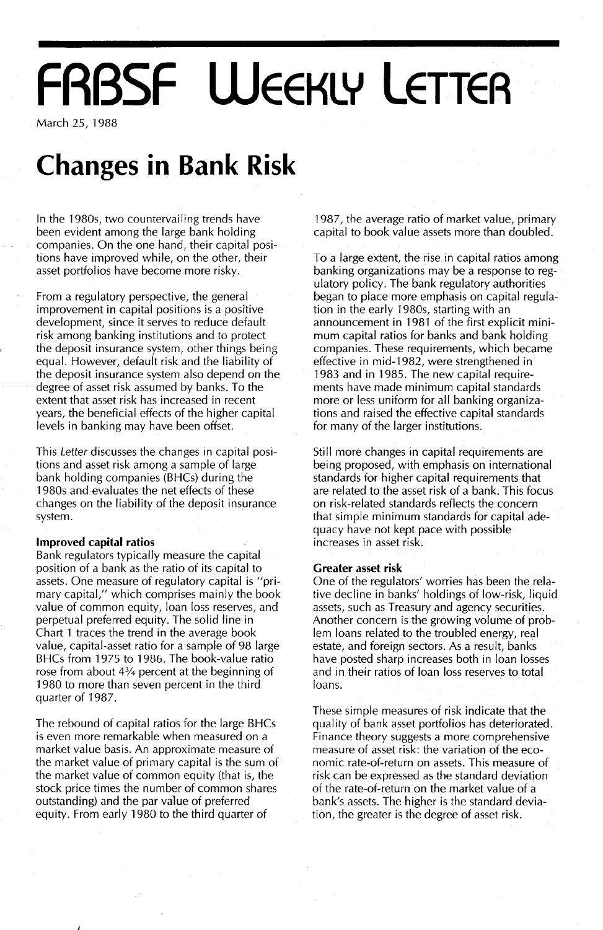# **FRBSF WEEKLY LETTER**

March 25, 1988

## **Changes in Bank Risk**

In the 1980s, two countervailing trends have been evident among the large bank holding companies. On the one hand, their capital positions have improved while, on the other, their asset portfolios have become more risky.

From a regulatory perspective, the general improvement in capital positions is a positive development, since it serves to reduce default risk among banking institutions and to protect the deposit insurance system, other things being equal. However, default risk and the liability of the deposit insurance system also depend on the degree of asset risk assumed by banks. To the extent that asset risk has increased in recent years, the beneficial effects of the higher capital levels in banking may have been offset.

This Letter discusses the changes in capital positions and asset risk among a sample of large bank holding companies (BHCs) during the 1980s and evaluates the net effects of these changes on the liability of the deposit insurance system.

#### **Improved capital ratios**

J

Bank regulators typically measure the capital position of a bank as the ratio of its capital to assets. One measure of regulatory capital is "primary capital," which comprises mainly the book value of common equity, loan loss reserves, and perpetual preferred equity. The solid line in Chart 1 traces the trend in the average book value, capital-asset ratio for a sample of 98 large BHCs from 1975 to 1986. The book-value ratio rose from about 4% percent at the beginning of 1980 to more than seven percent in the third quarter of 1987.

The rebound of capital ratios for the large BHCs is even more remarkable when measured on a market value basis. An approximate measure of the market value of primary capital is the sum of the market value of common equity (that is, the stock price times the number of common shares outstanding) and the par value of preferred equity. From early 1980 to the third quarter of

1987, the average ratio of market value, primary capital to book value assets more than doubled.

To a large extent, the rise in capital ratios among banking organizations may be a response to regulatory policy. The bank regulatory authorities began to place more emphasis on capital regulation in the early 1980s, starting with an announcement in 1981 of the first explicit minimum capital ratios for banks and bank holding companies. These requirements, which became effective in mid-1982, were strengthened in 1983 and in 1985. The new capital requirements have made minimum capital standards more or less uniform for all banking organizations and raised the effective capital standards for many of the larger institutions.

Still more changes in capital requirements are being proposed, with emphasis on international standards for higher capital requirements that are related to the asset risk of a bank. This focus on risk-related standards reflects the concern that simple minimum standards for capital adequacy have not kept pace with possible increases in asset risk.

#### **Greater** asset **risk**

One of the regulators' worries has been the relative decline in banks' holdings of low-risk, liquid assets, such as Treasury and agency securities. Another concern is the growing volume of problem loans related to the troubled energy, real estate, and foreign sectors. As a result, banks have posted sharp increases both in loan losses and in their ratios of loan loss reserves to total loans.

These simple measures of risk indicate that the quality of bank asset portfolios has deteriorated. Finance theory suggests a more comprehensive measure of asset risk: the variation of the economic rate-of-return on assets. This measure of risk can be expressed as the standard deviation of the rate-of-return on the market value of a bank's assets. The higher is the standard deviation, the greater is the degree of asset risk.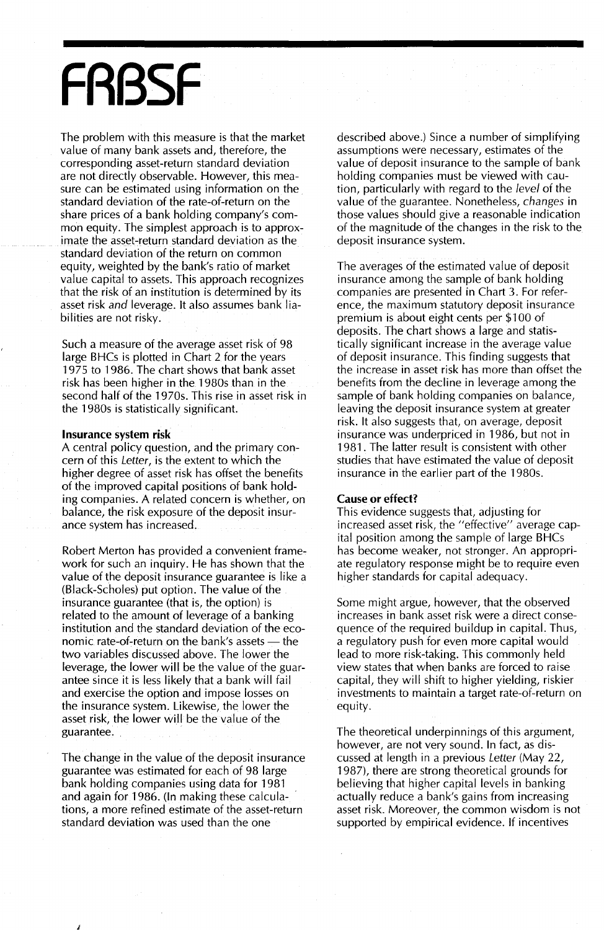## **FRBSF**

The problem with this measure is that the market value of many bank assets and, therefore, the corresponding asset-return standard deviation are not directly observable. However, this measure can be estimated using information on the standard deviation of the rate-of-return on the share prices of a bank holding company's common equity. The simplest approach is to approximate the asset-return standard deviation as the standard deviation of the return on common equity, weighted by the bank's ratio of market value capital to assets. This approach recognizes that the risk of an institution is determined by its asset risk *and* leverage. It also assumes bank liabilities are not risky.

Such a measure of the average asset risk of 98 large BHCs is plotted in Chart 2 for the years 1975 to 1986. The chart shows that bank asset risk has been higher in the 1980s than in the second half of the 1970s. This rise in asset risk in the 1980s is statistically significant.

#### **Insurance** system **risk**

A central policy question, and the primary concern of this Letter, is the extent to which the higher degree of asset risk has offset the benefits of the improved capital positions of bank holding companies. A related concern is whether, on balance, the risk exposure of the deposit insurance system has increased.

Robert Merton has provided a convenient framework for such an inquiry. He has shown that the value of the deposit insurance guarantee is like a (Black-Scholes) put option. The value of the insurance guarantee (that is, the option) is related to the amount of leverage of a banking institution and the standard deviation of the economic rate-of-return on the bank's assets  $-$  the two variables discussed above. The lower the leverage, the lower will be the value of the guarantee since it is less likely that a bank will fail and exercise the option and impose losses on the insurance system. Likewise, the lower the asset risk, the lower will be the value of the guarantee.

The change in the value of the deposit insurance guarantee was estimated for each of 98 large bank holding companies using data for 1981 and again for 1986. (In making these calculations, a more refined estimate of the asset-return standard deviation was used than the one

J

described above.) Since a number of simplifying assumptions were necessary, estimates of the value of deposit insurance to the sample of bank holding companies must be viewed with caution, particularly with regard to the *level* of the value of the guarantee. Nonetheless, *changes* in those values should give a reasonable indication of the magnitude of the changes in the risk to the deposit insurance system.

The averages of the estimated value of deposit insurance among the sample of bank holding companies are presented in Chart 3. For reference, the maximum statutory deposit insurance premium is about eight cents per \$100 of deposits. The chart shows a large and statistically significant increase in the average value of deposit insurance. This finding suggests that the increase in asset risk has more than offset the benefits from the decline in leverage among the sample of bank holding companies on balance, leaving the deposit insurance system at greater risk. It also suggests that, on average, deposit insurance was underpriced in 1986, but not in 1981. The latter result is consistent with other studies that have estimated the value of deposit insurance in the earlier part of the 1980s.

#### Cause **or** effect?

This evidence suggests that, adjusting for increased asset risk, the "effective" average capital position among the sample of large BHCs has become weaker, not stronger. An appropriate regulatory response might be to require even higher standards for capital adequacy.

Some might argue, however, that the observed increases in bank asset risk were a direct consequence of the required buildup in capital. Thus, a regulatory push for even more capital would lead to more risk-taking. This commonly held view states that when banks are forced to raise capital, they will shift to higher yielding, riskier investments to maintain a target rate-of-return on equity.

The theoretical underpinnings of this argument, however, are not very sound. In fact, as discussed at length in a previous Letter (May 22, 1987), there are strong theoretical grounds for believing that higher capital levels in banking actually reduce a bank's gains from increasing asset risk. Moreover, the common wisdom is not supported by empirical evidence. If incentives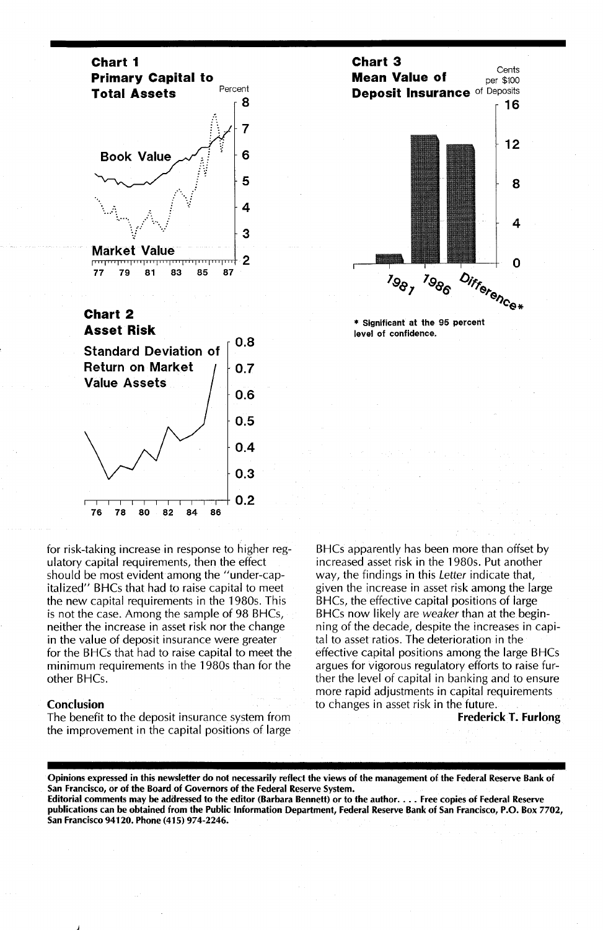

#### **Chart 2 Asset Risk**



for risk-taking increase in response to higher regulatory capital requirements, then the effect should be most evident among the "under-capitalized" BHCs that had to raise capital to meet the new capital requirements in the 1980s. This is not the case. Among the sample of 98 BHCs, neither the increase in asset risk nor the change in the value of deposit insurance were greater for the BHCs that had to raise capital to meet the minimum requirements in the 1980s than for the other BHCs.

#### Conclusion

The benefit to the deposit insurance system from the improvement in the capital positions of large



level of confidence.

BHCs apparently has been more than offset by increased asset risk in the 1980s. Put another way, the findings in this Letter indicate that, given the increase in asset risk among the large BHCs, the effective capital positions of large BHCs now likely are weaker than at the beginning of the decade, despite the increases in capital to asset ratios. The deterioration in the effective capital positions among the large BHCs argues for vigorous regulatory efforts to raise further the level of capital in banking and to ensure more rapid adjustments in capital requirements to changes in asset risk in the future.

FrederickT. Furlong

Opinions expressed in this newsletter do not necessarily reflect the views of the management of the Federal Reserve Bank of San Francisco, or of the Board of Governors of the Federal Reserve System.

Editorial comments may be adilressed to the editor (Barbara Bennett) or to the author.... Free copies of Federal Reserve publications can be obtained from the Public Information Department, Federal Reserve Bank of San Francisco, P.O. Box 7702, San Francisco 94120. Phone (415) 974-2246.